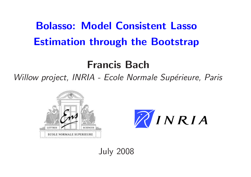# Bolasso: Model Consistent Lasso Estimation through the Bootstrap

# Francis Bach

Willow project, INRIA - Ecole Normale Supérieure, Paris





July 2008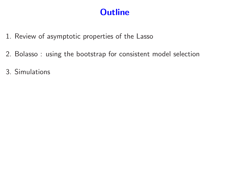# **Outline**

- 1. Review of asymptotic properties of the Lasso
- 2. Bolasso : using the bootstrap for consistent model selection
- 3. Simulations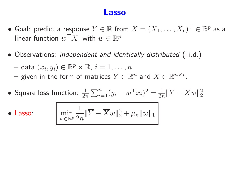### Lasso

- Goal: predict a response  $Y \in \mathbb{R}$  from  $X = (X_1, \ldots, X_p)^\top \in \mathbb{R}^p$  as a linear function  $w^{\top}X$ , with  $w \in \mathbb{R}^p$
- Observations: *independent and identically distributed* (i.i.d.)

– data  $(x_i, y_i) \in \mathbb{R}^p \times \mathbb{R}, i = 1, \ldots, n$ 

- given in the form of matrices  $\overline{Y} \in \mathbb{R}^n$  and  $\overline{X} \in \mathbb{R}^{n \times p}$ .
- Square loss function:  $\frac{1}{2n} \sum_{i=1}^{n} (y_i w^\top x_i)^2 = \frac{1}{2n} \|\overline{Y} \overline{X}w\|_2^2$

• Lasso:

$$
\min_{w \in \mathbb{R}^p} \frac{1}{2n} \|\overline{Y} - \overline{X}w\|_2^2 + \mu_n \|w\|_1
$$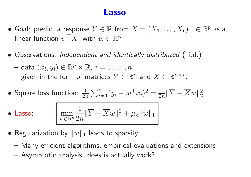### Lasso

- Goal: predict a response  $Y \in \mathbb{R}$  from  $X = (X_1, \ldots, X_p)^\top \in \mathbb{R}^p$  as a linear function  $w^{\top}X$ , with  $w \in \mathbb{R}^p$
- Observations: independent and identically distributed (i.i.d.)

– data  $(x_i, y_i) \in \mathbb{R}^p \times \mathbb{R}, i = 1, \ldots, n$ 

- given in the form of matrices  $\overline{Y} \in \mathbb{R}^n$  and  $\overline{X} \in \mathbb{R}^{n \times p}$ .
- Square loss function:  $\frac{1}{2n} \sum_{i=1}^n (y_i w^\top x_i)^2 = \frac{1}{2n} \|\overline{Y} \overline{X}w\|_2^2$

 $\bullet$  Lasso:

$$
\left| \min_{w \in \mathbb{R}^p} \frac{1}{2n} \| \overline{Y} - \overline{X}w \|_2^2 + \mu_n \|w\|_1 \right|
$$

- Regularization by  $||w||_1$  leads to sparsity
	- Many efficient algorithms, empirical evaluations and extensions
	- Asymptotic analysis: does is actually work?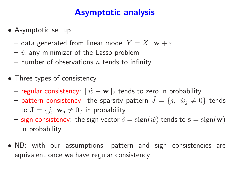# Asymptotic analysis

- Asymptotic set up
	- $-$  data generated from linear model  $Y = X^\top \mathbf{w} + \varepsilon$
	- $\hat{w}$  any minimizer of the Lasso problem
	- number of observations  $n$  tends to infinity
- Three types of consistency
	- $-$  regular consistency:  $\|\hat{w}-\mathbf{w}\|_2$  tends to zero in probability
	- $-$  pattern consistency: the sparsity pattern  $\hat{J} = \{j, \,\, \hat{w}_j \neq 0\}$  tends to  $\mathbf{J} = \{j, \ \mathbf{w}_j \neq 0\}$  in probability
	- sign consistency: the sign vector  $\hat{s} = \text{sign}(\hat{w})$  tends to  $\mathbf{s} = \text{sign}(\mathbf{w})$ in probability
- NB: with our assumptions, pattern and sign consistencies ar e equivalent once we have regular consistency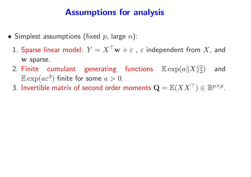# Assumptions for analysis

- $\bullet$  Simplest assumptions (fixed  $p$ , large  $n)$ :
	- 1. Sparse linear model:  $Y = X^\top \mathbf{w} + \varepsilon$  ,  $\varepsilon$  independent from  $X$ , and <sup>w</sup> sparse.
	- 2 Finite cumulant generating functions  $\mathbb{E}\exp(a\|X\|_2^2)$ 2 ) and  $\mathbb{E}\exp(a\varepsilon^2)$  finite for some  $a>0.$
	- 3. Invertible matrix of second order moments  $\mathbf{Q} = \mathbb{E}(XX^\top) \in \mathbb{R}^{p \times p}.$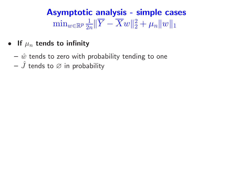#### Asymptotic analysis - simple cases  $\min_{w \in \mathbb{R}^p}$ 1  $\frac{1}{2n}\|\overline{Y}-\overline{X}w\|_2^2$  $\frac{2}{2}+\mu _{n}\Vert w\Vert _{1}$

- $\bullet$  If  $\mu_n$  tends to infinity
	- $\hat{w}$  tends to zero with probability tending to one
	- $\hat{J}$  tends to  $\varnothing$  in probability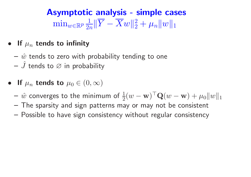#### Asymptotic analysis - simple cases  $\min_{w \in \mathbb{R}^p}$ 1  $\frac{1}{2n}\|\overline{Y}-\overline{X}w\|_2^2$  $\frac{2}{2}+\mu _{n}\Vert w\Vert _{1}$

- $\bullet$  If  $\mu_n$  tends to infinity
	- $\hat{w}$  tends to zero with probability tending to one
	- $\hat{J}$  tends to  $\varnothing$  in probability
- If  $\mu_n$  tends to  $\mu_0 \in (0, \infty)$ 
	- $\hat{w}$  converges to the minimum of  $\frac{1}{2}$  $\frac{1}{2}(w-\mathbf{w})^{\top}\mathbf{Q}(w-\mathbf{w}) + \mu_0 \|w\|_1$
	- The sparsity and sign patterns may or may not be consistent
	- Possible to have sign consistency without regular consistency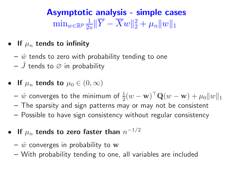#### Asymptotic analysis - simple cases  $\min_{w \in \mathbb{R}^p}$ 1  $\frac{1}{2n}\|\overline{Y}-\overline{X}w\|_2^2$  $\frac{2}{2}+\mu _{n}\Vert w\Vert _{1}$

- $\bullet$  If  $\mu_n$  tends to infinity
	- $\hat{w}$  tends to zero with probability tending to one
	- $\hat{J}$  tends to  $\varnothing$  in probability
- If  $\mu_n$  tends to  $\mu_0 \in (0, \infty)$ 
	- $\hat{w}$  converges to the minimum of  $\frac{1}{2}$  $\frac{1}{2}(w-\mathbf{w})^{\top}\mathbf{Q}(w-\mathbf{w}) + \mu_0 \|w\|_1$
	- The sparsity and sign patterns may or may not be consistent
	- Possible to have sign consistency without regular consistency
- $\bullet$  If  $\mu_n$  tends to zero faster than  $n$  $-1/2$ 
	- $\hat{w}$  converges in probability to  ${\bf w}$
	- With probability tending to one, all variables are included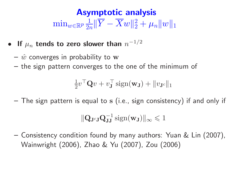#### Asymptotic analysis  $\min_{w \in \mathbb{R}^p}$ 1  $\frac{1}{2n}\|\overline{Y}-\overline{X}w\|_2^2$  $\frac{2}{2}+\mu _{n}\Vert w\Vert _{1}$

- $\bullet$  If  $\mu_n$  tends to zero slower than  $n$  $-1/2$ 
	- $\hat{w}$  converges in probability to  ${\bf w}$
	- the sign pattern converges to the one of the minimum of

$$
\frac{1}{2}v^{\top}\mathbf{Q}v + v_{\mathbf{J}}^{\top}\operatorname{sign}(\mathbf{w}_{\mathbf{J}}) + \|v_{\mathbf{J}^c}\|_1
$$

 $-$  The sign pattern is equal to  ${\rm s}$  (i.e., sign consistency) if and only if

$$
\|\mathbf{Q}_{\mathbf{J}^c\mathbf{J}}\mathbf{Q}_{\mathbf{J}\mathbf{J}}^{-1}\operatorname{sign}(\mathbf{w}_\mathbf{J})\|_\infty\leqslant 1
$$

– Consistency condition found by many authors: Yuan & Lin (2007), Wainwright (2006), Zhao & Yu (2007), Zou (2006)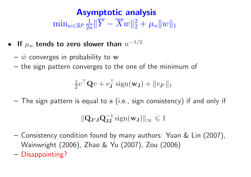#### Asymptotic analysis  $\min_{w \in \mathbb{R}^p}$ 1  $\frac{1}{2n}\|\overline{Y}-\overline{X}w\|_2^2$  $\frac{2}{2}+\mu _{n}\Vert w\Vert _{1}$

- $\bullet$  If  $\mu_n$  tends to zero slower than  $n$  $-1/2$ 
	- $\hat{w}$  converges in probability to  ${\bf w}$
	- the sign pattern converges to the one of the minimum of

$$
\frac{1}{2}v^{\top}\mathbf{Q}v + v_{\mathbf{J}}^{\top}\operatorname{sign}(\mathbf{w}_{\mathbf{J}}) + \|v_{\mathbf{J}^c}\|_1
$$

 $-$  The sign pattern is equal to  ${\bf s}$  (i.e., sign consistency) if and only if

$$
\|\mathbf{Q}_{\mathbf{J}^c\mathbf{J}}\mathbf{Q}_{\mathbf{J}\mathbf{J}}^{-1}\operatorname{sign}(\mathbf{w}_\mathbf{J})\|_\infty\leqslant 1
$$

- Consistency condition found by many authors: Yuan & Lin (2007), Wainwright (2006), Zhao & Yu (2007), Zou (2006)
- Disappointing?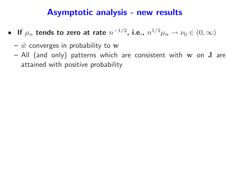# Asymptotic analysis - new results

- If  $\mu_n$  tends to zero at rate  $n$  $^{-1/2}$ , i.e.,  $n^{1/2}\mu_n \to \nu_0 \in (0,\infty)$ 
	- $\hat{w}$  converges in probability to  ${\bf w}$
	- $-$  All (and only) patterns which are consistent with  ${\bf w}$  on  ${\bf J}$  are attained with positive probability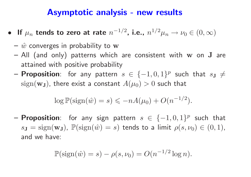### Asymptotic analysis - new results

- If  $\mu_n$  tends to zero at rate  $n$  $^{-1/2}$ , i.e.,  $n^{1/2}\mu_n \to \nu_0 \in (0, \infty)$ 
	- $\hat{w}$  converges in probability to  ${\bf w}$
	- $-$  All (and only) patterns which are consistent with  ${\bf w}$  on  ${\bf J}$  are attained with positive probability
	- $-$  Proposition: for any pattern  $s\,\in\,\{-1,0,1\}^{p}$  such that  $s_{\mathbf{J}}\neq\,$  $\operatorname{sign}(\mathbf{w}_{\mathbf{J}})$ , there exist a constant  $A(\mu_0)>0$  such that

$$
\log \mathbb{P}(\text{sign}(\hat{w}) = s) \leqslant -nA(\mu_0) + O(n^{-1/2}).
$$

 $-$  Proposition: for any sign pattern  $s\,\in\, \{-1,0,1\}^{p}$  such that  $s_{\bf J} = {\rm sign}({\bf w_J})$ ,  $\mathbb{P}({\rm sign}(\hat w) = s)$  tends to a limit  $\rho(s,\nu_0) \in (0,1)$ , and we have:

$$
\mathbb{P}(\operatorname{sign}(\hat{w})=s)-\rho(s,\nu_0)=O(n^{-1/2}\log n).
$$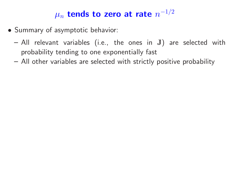### $\mu_n$  tends to zero at rate  $n$  $-1/2$

- Summary of asymptotic behavior:
	- $-$  All relevant variables (i.e., the ones in  $\bf J)$  are selected with probability tending to one exponentially fast
	- All other variables are selected with strictly positive probability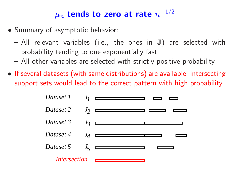### $\mu_n$  tends to zero at rate  $n$  $-1/2$

- Summary of asymptotic behavior:
	- $-$  All relevant variables (i.e., the ones in  $\bf J)$  are selected with probability tending to one exponentially fast
	- All other variables are selected with strictly positive probability
- If several datasets (with same distributions) are available, intersecting support sets would lead to the correct pattern with high probability

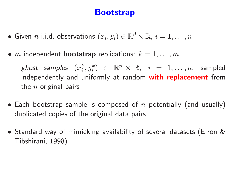# Bootstrap

- Given n i.i.d. observations  $(x_i, y_i) \in \mathbb{R}^d \times \mathbb{R}, i = 1, \ldots, n$
- m independent **bootstrap** replications:  $k = 1, \ldots, m$ ,
	- ghost samples  $(x_i^k, y_i^k) \in \mathbb{R}^p \times \mathbb{R}$ ,  $i = 1, \ldots, n$ , sampled independently and uniformly at random with replacement from the  $n$  original pairs
- Each bootstrap sample is composed of  $n$  potentially (and usually) duplicated copies of the original data pairs
- Standard way of mimicking availability of several datasets (Efron & Tibshirani, 1998)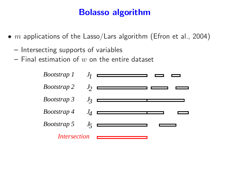# Bolasso algorithm

- $\bullet$   $m$  applications of the Lasso/Lars algorithm (Efron et al., 2004)
	- Intersecting supports of variables
	- $-$  Final estimation of  $w$  on the entire dataset

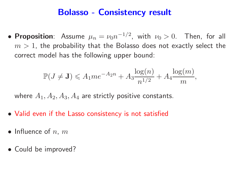### Bolasso - Consistency result

• Proposition: Assume  $\mu_n = \nu_0 n$  $^{-1/2}$ , with  $\nu_0 > 0$ . Then, for all  $m>1$ , the probability that the Bolasso does not exactly select the correct model has the following upper bound:

$$
\mathbb{P}(J \neq J) \leq A_1 m e^{-A_2 n} + A_3 \frac{\log(n)}{n^{1/2}} + A_4 \frac{\log(m)}{m},
$$

where  $A_1,A_2,A_3,A_4$  are strictly positive constants.

- Valid even if the Lasso consistency is not satisfied
- $\bullet$  Influence of  $n, m$
- Could be improved?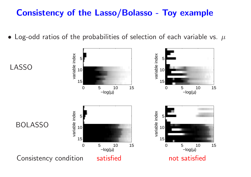# Consistency of the Lasso/Bolasso - Toy example

 $\bullet\,$  Log-odd ratios of the probabilities of selection of each variable vs.  $\,\mu$ 

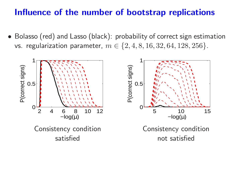### Influence of the number of bootstrap replications

• Bolasso (red) and Lasso (black): probability of correct sign estimation vs. regularization parameter,  $m \in \{2, 4, 8, 16, 32, 64, 128, 256\}$ .

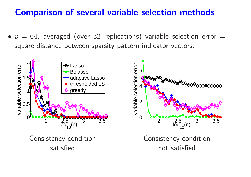# Comparison of several variable selection methods

 $\bullet$   $p\,=\,64$ , averaged (over 32 replications) variable selection error  $=$ square distance between sparsity pattern indicator vectors.

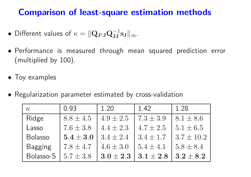# Comparison of least-square estimation methods

- Different values of  $\kappa = \|\mathbf{Q}_{\mathbf{J}^{c}\mathbf{J}}\mathbf{Q}_{\mathbf{J}\mathbf{J}}^{-1}\|$  $\frac{-1}{\mathrm{JJ}}\mathrm{S}\mathrm{J}\Vert_\infty.$
- Performance is measured through mean squared prediction error (multiplied by 100).
- Toy examples
- Regularization parameter estimated by cross-validation

| $\kappa$       | 0.93          | 1.20          | 1.42          | 1.28           |
|----------------|---------------|---------------|---------------|----------------|
| Ridge          | $8.8 \pm 4.5$ | $4.9 \pm 2.5$ | $7.3 \pm 3.9$ | $8.1 \pm 8.6$  |
| Lasso          | $7.6 \pm 3.8$ | $4.4 \pm 2.3$ | $4.7 \pm 2.5$ | $5.1 \pm 6.5$  |
| <b>Bolasso</b> | $5.4 \pm 3.0$ | $3.4 \pm 2.4$ | $3.4 \pm 1.7$ | $3.7 \pm 10.2$ |
| <b>Bagging</b> | $7.8 \pm 4.7$ | $4.6 \pm 3.0$ | $5.4 \pm 4.1$ | $5.8 \pm 8.4$  |
| Bolasso-S      | $5.7 \pm 3.8$ | $3.0 \pm 2.3$ | $3.1 \pm 2.8$ | $3.2 \pm 8.2$  |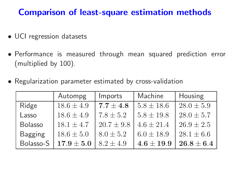# Comparison of least-square estimation methods

- UCI regression datasets
- Performance is measured through mean squared prediction error (multiplied by 100).
- Regularization parameter estimated by cross-validation

|                | Autompg        | Imports        | Machine        | Housing        |
|----------------|----------------|----------------|----------------|----------------|
| Ridge          | $18.6 \pm 4.9$ | $7.7 \pm 4.8$  | $5.8 \pm 18.6$ | $28.0 \pm 5.9$ |
| Lasso          | $18.6 \pm 4.9$ | $7.8 \pm 5.2$  | $5.8 \pm 19.8$ | $28.0 \pm 5.7$ |
| Bolasso        | $18.1 \pm 4.7$ | $20.7 \pm 9.8$ | $4.6 \pm 21.4$ | $26.9 \pm 2.5$ |
| <b>Bagging</b> | $18.6 \pm 5.0$ | $8.0 \pm 5.2$  | $6.0 \pm 18.9$ | $28.1 \pm 6.6$ |
| Bolasso-S      | $17.9 \pm 5.0$ | $8.2 \pm 4.9$  | $4.6 \pm 19.9$ | $26.8 \pm 6.4$ |